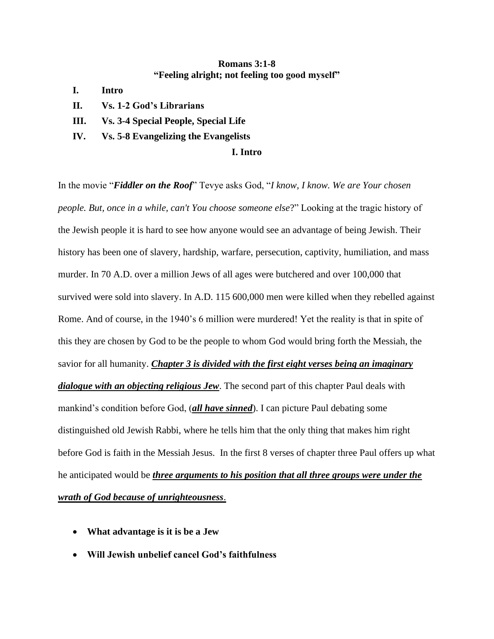## **Romans 3:1-8 "Feeling alright; not feeling too good myself"**

- **I. Intro**
- **II. Vs. 1-2 God's Librarians**
- **III. Vs. 3-4 Special People, Special Life**
- **IV. Vs. 5-8 Evangelizing the Evangelists**

#### **I. Intro**

In the movie "*Fiddler on the Roof*" Tevye asks God, "*I know, I know. We are Your chosen people. But, once in a while, can't You choose someone else*?" Looking at the tragic history of the Jewish people it is hard to see how anyone would see an advantage of being Jewish. Their history has been one of slavery, hardship, warfare, persecution, captivity, humiliation, and mass murder. In 70 A.D. over a million Jews of all ages were butchered and over 100,000 that survived were sold into slavery. In A.D. 115 600,000 men were killed when they rebelled against Rome. And of course, in the 1940's 6 million were murdered! Yet the reality is that in spite of this they are chosen by God to be the people to whom God would bring forth the Messiah, the savior for all humanity. *Chapter 3 is divided with the first eight verses being an imaginary dialogue with an objecting religious Jew*. The second part of this chapter Paul deals with mankind's condition before God, (*all have sinned*). I can picture Paul debating some distinguished old Jewish Rabbi, where he tells him that the only thing that makes him right before God is faith in the Messiah Jesus. In the first 8 verses of chapter three Paul offers up what he anticipated would be *three arguments to his position that all three groups were under the wrath of God because of unrighteousness*.

- **What advantage is it is be a Jew**
- **Will Jewish unbelief cancel God's faithfulness**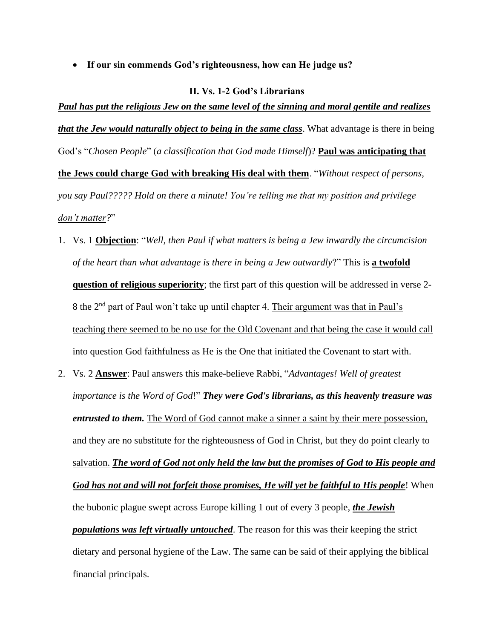• **If our sin commends God's righteousness, how can He judge us?** 

#### **II. Vs. 1-2 God's Librarians**

*Paul has put the religious Jew on the same level of the sinning and moral gentile and realizes that the Jew would naturally object to being in the same class*. What advantage is there in being God's "*Chosen People*" (*a classification that God made Himself*)? **Paul was anticipating that the Jews could charge God with breaking His deal with them**. "*Without respect of persons, you say Paul????? Hold on there a minute! You're telling me that my position and privilege don't matter?*"

- 1. Vs. 1 **Objection**: "*Well, then Paul if what matters is being a Jew inwardly the circumcision of the heart than what advantage is there in being a Jew outwardly*?" This is **a twofold question of religious superiority**; the first part of this question will be addressed in verse 2- 8 the 2<sup>nd</sup> part of Paul won't take up until chapter 4. Their argument was that in Paul's teaching there seemed to be no use for the Old Covenant and that being the case it would call into question God faithfulness as He is the One that initiated the Covenant to start with.
- 2. Vs. 2 **Answer**: Paul answers this make-believe Rabbi, "*Advantages! Well of greatest importance is the Word of God*!" *They were God's librarians, as this heavenly treasure was entrusted to them.* The Word of God cannot make a sinner a saint by their mere possession, and they are no substitute for the righteousness of God in Christ, but they do point clearly to salvation. *The word of God not only held the law but the promises of God to His people and God has not and will not forfeit those promises, He will yet be faithful to His people*! When the bubonic plague swept across Europe killing 1 out of every 3 people, *the Jewish populations was left virtually untouched*. The reason for this was their keeping the strict dietary and personal hygiene of the Law. The same can be said of their applying the biblical financial principals.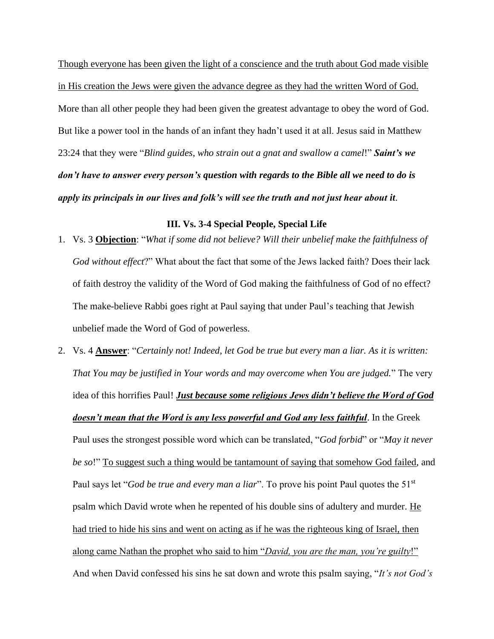Though everyone has been given the light of a conscience and the truth about God made visible in His creation the Jews were given the advance degree as they had the written Word of God. More than all other people they had been given the greatest advantage to obey the word of God. But like a power tool in the hands of an infant they hadn't used it at all. Jesus said in Matthew 23:24 that they were "*Blind guides, who strain out a gnat and swallow a camel*!" *Saint's we don't have to answer every person's question with regards to the Bible all we need to do is apply its principals in our lives and folk's will see the truth and not just hear about it*.

### **III. Vs. 3-4 Special People, Special Life**

- 1. Vs. 3 **Objection**: "*What if some did not believe? Will their unbelief make the faithfulness of God without effect*?" What about the fact that some of the Jews lacked faith? Does their lack of faith destroy the validity of the Word of God making the faithfulness of God of no effect? The make-believe Rabbi goes right at Paul saying that under Paul's teaching that Jewish unbelief made the Word of God of powerless.
- 2. Vs. 4 **Answer**: "*Certainly not! Indeed, let God be true but every man a liar. As it is written: That You may be justified in Your words and may overcome when You are judged.*" The very idea of this horrifies Paul! *Just because some religious Jews didn't believe the Word of God doesn't mean that the Word is any less powerful and God any less faithful*. In the Greek Paul uses the strongest possible word which can be translated, "*God forbid*" or "*May it never be so*!" To suggest such a thing would be tantamount of saying that somehow God failed, and Paul says let "*God be true and every man a liar*". To prove his point Paul quotes the 51<sup>st</sup> psalm which David wrote when he repented of his double sins of adultery and murder. He had tried to hide his sins and went on acting as if he was the righteous king of Israel, then along came Nathan the prophet who said to him "*David, you are the man, you're guilty*!" And when David confessed his sins he sat down and wrote this psalm saying, "*It's not God's*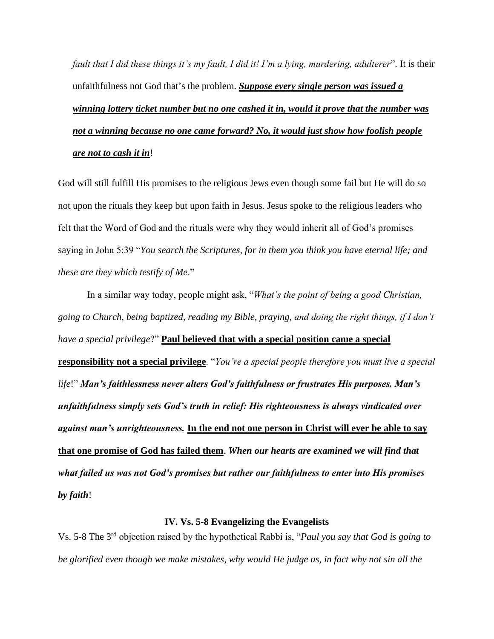*fault that I did these things it's my fault, I did it! I'm a lying, murdering, adulterer*". It is their unfaithfulness not God that's the problem. *Suppose every single person was issued a winning lottery ticket number but no one cashed it in, would it prove that the number was not a winning because no one came forward? No, it would just show how foolish people are not to cash it in*!

God will still fulfill His promises to the religious Jews even though some fail but He will do so not upon the rituals they keep but upon faith in Jesus. Jesus spoke to the religious leaders who felt that the Word of God and the rituals were why they would inherit all of God's promises saying in John 5:39 "*You search the Scriptures, for in them you think you have eternal life; and these are they which testify of Me*."

In a similar way today, people might ask, "*What's the point of being a good Christian, going to Church, being baptized, reading my Bible, praying, and doing the right things, if I don't have a special privilege*?" **Paul believed that with a special position came a special responsibility not a special privilege**. "*You're a special people therefore you must live a special life*!" *Man's faithlessness never alters God's faithfulness or frustrates His purposes. Man's unfaithfulness simply sets God's truth in relief: His righteousness is always vindicated over against man's unrighteousness.* **In the end not one person in Christ will ever be able to say that one promise of God has failed them**. *When our hearts are examined we will find that what failed us was not God's promises but rather our faithfulness to enter into His promises by faith*!

### **IV. Vs. 5-8 Evangelizing the Evangelists**

Vs. 5-8 The 3rd objection raised by the hypothetical Rabbi is, "*Paul you say that God is going to be glorified even though we make mistakes, why would He judge us, in fact why not sin all the*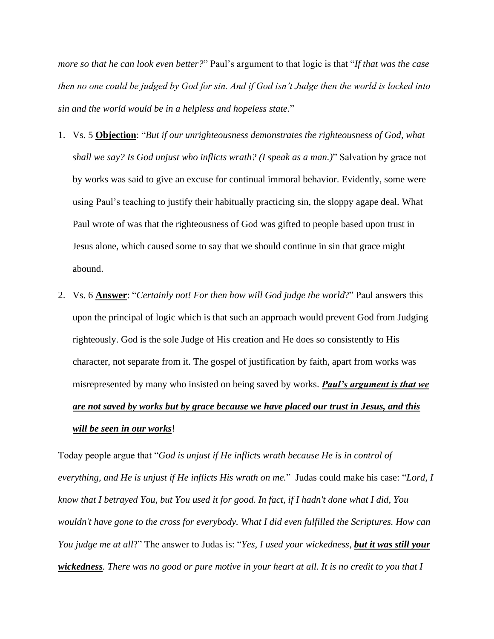*more so that he can look even better?*" Paul's argument to that logic is that "*If that was the case then no one could be judged by God for sin. And if God isn't Judge then the world is locked into sin and the world would be in a helpless and hopeless state.*"

- 1. Vs. 5 **Objection**: "*But if our unrighteousness demonstrates the righteousness of God, what shall we say? Is God unjust who inflicts wrath? (I speak as a man.)*" Salvation by grace not by works was said to give an excuse for continual immoral behavior. Evidently, some were using Paul's teaching to justify their habitually practicing sin, the sloppy agape deal. What Paul wrote of was that the righteousness of God was gifted to people based upon trust in Jesus alone, which caused some to say that we should continue in sin that grace might abound.
- 2. Vs. 6 **Answer**: "*Certainly not! For then how will God judge the world*?" Paul answers this upon the principal of logic which is that such an approach would prevent God from Judging righteously. God is the sole Judge of His creation and He does so consistently to His character, not separate from it. The gospel of justification by faith, apart from works was misrepresented by many who insisted on being saved by works. *Paul's argument is that we are not saved by works but by grace because we have placed our trust in Jesus, and this*

#### *will be seen in our works*!

Today people argue that "*God is unjust if He inflicts wrath because He is in control of everything, and He is unjust if He inflicts His wrath on me.*" Judas could make his case: "*Lord, I know that I betrayed You, but You used it for good. In fact, if I hadn't done what I did, You wouldn't have gone to the cross for everybody. What I did even fulfilled the Scriptures. How can You judge me at all*?" The answer to Judas is: "*Yes, I used your wickedness, but it was still your wickedness. There was no good or pure motive in your heart at all. It is no credit to you that I*